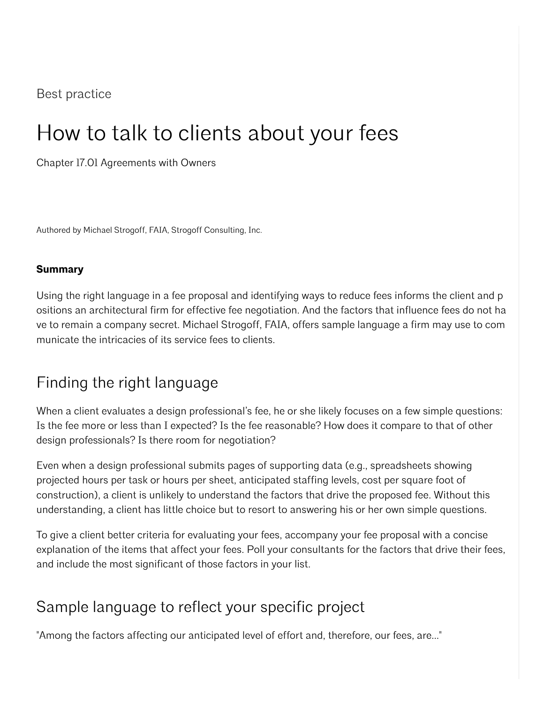#### Best practice

# How to talk to clients about your fees

Chapter 17.01 Agreements with Owners

Authored by Michael Strogoff, FAIA, Strogoff Consulting, Inc.

#### **Summary**

Using the right language in a fee proposal and identifying ways to reduce fees informs the client and p ositions an architectural firm for effective fee negotiation. And the factors that influence fees do not ha ve to remain a company secret. Michael Strogoff, FAIA, offers sample language a firm may use to com municate the intricacies of its service fees to clients.

## Finding the right language

When a client evaluates a design professional's fee, he or she likely focuses on a few simple questions: Is the fee more or less than I expected? Is the fee reasonable? How does it compare to that of other design professionals? Is there room for negotiation?

Even when a design professional submits pages of supporting data (e.g., spreadsheets showing projected hours per task or hours per sheet, anticipated staffing levels, cost per square foot of construction), a client is unlikely to understand the factors that drive the proposed fee. Without this understanding, a client has little choice but to resort to answering his or her own simple questions.

To give a client better criteria for evaluating your fees, accompany your fee proposal with a concise explanation of the items that affect your fees. Poll your consultants for the factors that drive their fees, and include the most significant of those factors in your list.

#### Sample language to reflect your specific project

"Among the factors affecting our anticipated level of effort and, therefore, our fees, are..."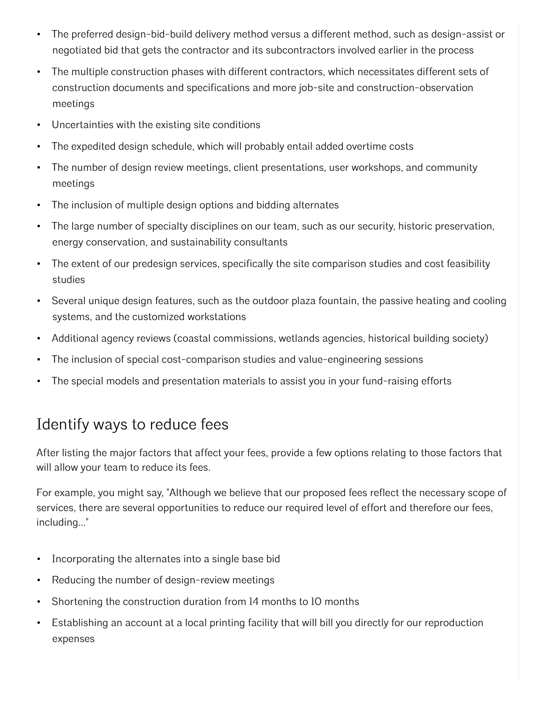- The preferred design-bid-build delivery method versus a different method, such as design-assist or negotiated bid that gets the contractor and its subcontractors involved earlier in the process
- The multiple construction phases with different contractors, which necessitates different sets of construction documents and specifications and more job-site and construction-observation meetings
- Uncertainties with the existing site conditions
- The expedited design schedule, which will probably entail added overtime costs
- The number of design review meetings, client presentations, user workshops, and community meetings
- The inclusion of multiple design options and bidding alternates
- The large number of specialty disciplines on our team, such as our security, historic preservation, energy conservation, and sustainability consultants
- The extent of our predesign services, specifically the site comparison studies and cost feasibility studies
- Several unique design features, such as the outdoor plaza fountain, the passive heating and cooling systems, and the customized workstations
- Additional agency reviews (coastal commissions, wetlands agencies, historical building society)
- The inclusion of special cost-comparison studies and value-engineering sessions
- The special models and presentation materials to assist you in your fund-raising efforts

### Identify ways to reduce fees

After listing the major factors that affect your fees, provide a few options relating to those factors that will allow your team to reduce its fees.

For example, you might say, "Although we believe that our proposed fees reflect the necessary scope of services, there are several opportunities to reduce our required level of effort and therefore our fees, including..."

- Incorporating the alternates into a single base bid
- Reducing the number of design-review meetings
- Shortening the construction duration from 14 months to 10 months
- Establishing an account at a local printing facility that will bill you directly for our reproduction expenses